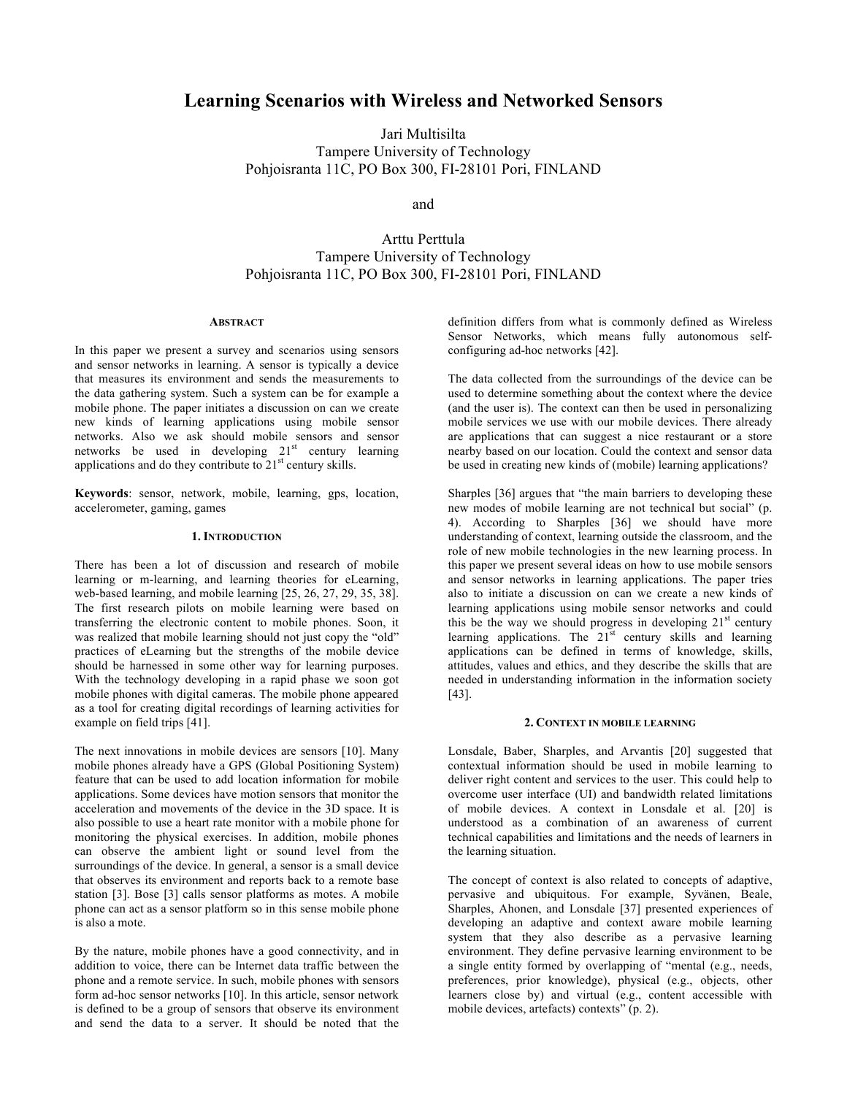# **Learning Scenarios with Wireless and Networked Sensors**

Jari Multisilta Tampere University of Technology Pohjoisranta 11C, PO Box 300, FI-28101 Pori, FINLAND

and

# Arttu Perttula Tampere University of Technology Pohjoisranta 11C, PO Box 300, FI-28101 Pori, FINLAND

## **ABSTRACT**

In this paper we present a survey and scenarios using sensors and sensor networks in learning. A sensor is typically a device that measures its environment and sends the measurements to the data gathering system. Such a system can be for example a mobile phone. The paper initiates a discussion on can we create new kinds of learning applications using mobile sensor networks. Also we ask should mobile sensors and sensor networks be used in developing  $21<sup>st</sup>$  century learning applications and do they contribute to  $21<sup>st</sup>$  century skills.

**Keywords**: sensor, network, mobile, learning, gps, location, accelerometer, gaming, games

#### **1. INTRODUCTION**

There has been a lot of discussion and research of mobile learning or m-learning, and learning theories for eLearning, web-based learning, and mobile learning [25, 26, 27, 29, 35, 38]. The first research pilots on mobile learning were based on transferring the electronic content to mobile phones. Soon, it was realized that mobile learning should not just copy the "old" practices of eLearning but the strengths of the mobile device should be harnessed in some other way for learning purposes. With the technology developing in a rapid phase we soon got mobile phones with digital cameras. The mobile phone appeared as a tool for creating digital recordings of learning activities for example on field trips [41].

The next innovations in mobile devices are sensors [10]. Many mobile phones already have a GPS (Global Positioning System) feature that can be used to add location information for mobile applications. Some devices have motion sensors that monitor the acceleration and movements of the device in the 3D space. It is also possible to use a heart rate monitor with a mobile phone for monitoring the physical exercises. In addition, mobile phones can observe the ambient light or sound level from the surroundings of the device. In general, a sensor is a small device that observes its environment and reports back to a remote base station [3]. Bose [3] calls sensor platforms as motes. A mobile phone can act as a sensor platform so in this sense mobile phone is also a mote.

By the nature, mobile phones have a good connectivity, and in addition to voice, there can be Internet data traffic between the phone and a remote service. In such, mobile phones with sensors form ad-hoc sensor networks [10]. In this article, sensor network is defined to be a group of sensors that observe its environment and send the data to a server. It should be noted that the

definition differs from what is commonly defined as Wireless Sensor Networks, which means fully autonomous selfconfiguring ad-hoc networks [42].

The data collected from the surroundings of the device can be used to determine something about the context where the device (and the user is). The context can then be used in personalizing mobile services we use with our mobile devices. There already are applications that can suggest a nice restaurant or a store nearby based on our location. Could the context and sensor data be used in creating new kinds of (mobile) learning applications?

Sharples [36] argues that "the main barriers to developing these new modes of mobile learning are not technical but social" (p. 4). According to Sharples [36] we should have more understanding of context, learning outside the classroom, and the role of new mobile technologies in the new learning process. In this paper we present several ideas on how to use mobile sensors and sensor networks in learning applications. The paper tries also to initiate a discussion on can we create a new kinds of learning applications using mobile sensor networks and could this be the way we should progress in developing  $21<sup>st</sup>$  century learning applications. The 21<sup>st</sup> century skills and learning applications can be defined in terms of knowledge, skills, attitudes, values and ethics, and they describe the skills that are needed in understanding information in the information society [43].

## **2. CONTEXT IN MOBILE LEARNING**

Lonsdale, Baber, Sharples, and Arvantis [20] suggested that contextual information should be used in mobile learning to deliver right content and services to the user. This could help to overcome user interface (UI) and bandwidth related limitations of mobile devices. A context in Lonsdale et al. [20] is understood as a combination of an awareness of current technical capabilities and limitations and the needs of learners in the learning situation.

The concept of context is also related to concepts of adaptive, pervasive and ubiquitous. For example, Syvänen, Beale, Sharples, Ahonen, and Lonsdale [37] presented experiences of developing an adaptive and context aware mobile learning system that they also describe as a pervasive learning environment. They define pervasive learning environment to be a single entity formed by overlapping of "mental (e.g., needs, preferences, prior knowledge), physical (e.g., objects, other learners close by) and virtual (e.g., content accessible with mobile devices, artefacts) contexts" (p. 2).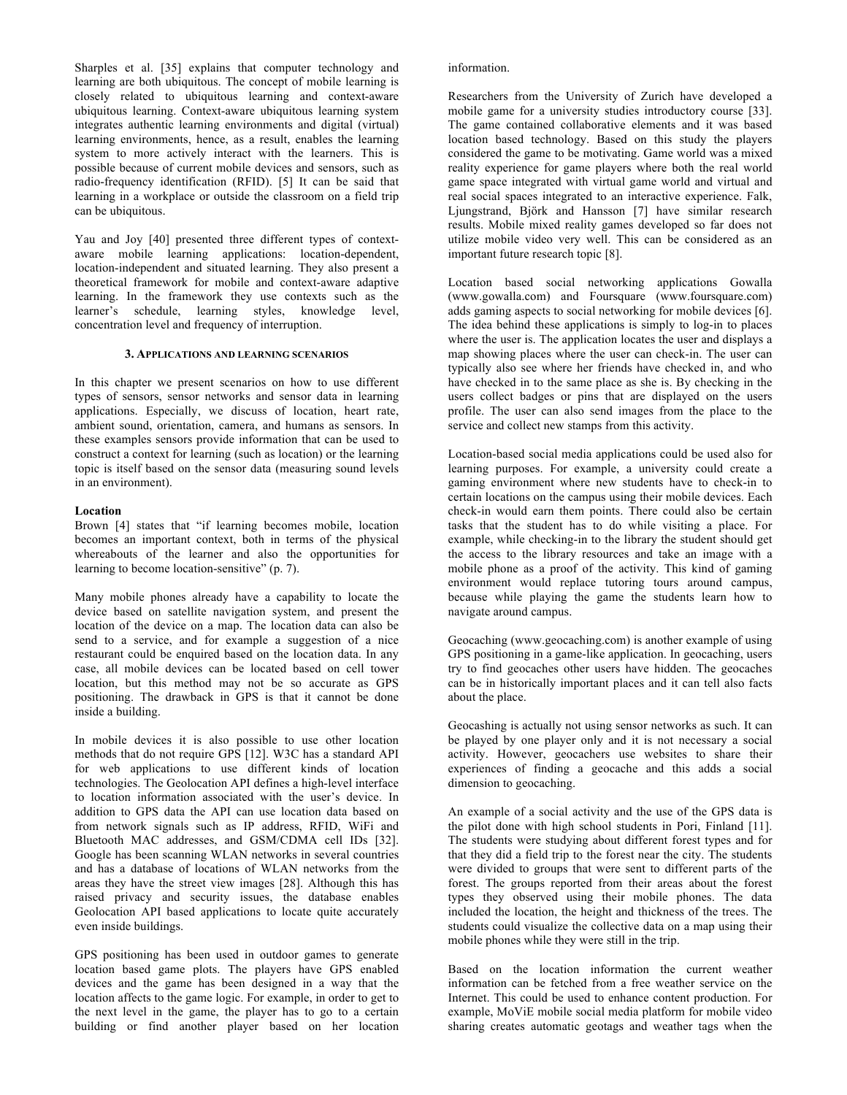Sharples et al. [35] explains that computer technology and learning are both ubiquitous. The concept of mobile learning is closely related to ubiquitous learning and context-aware ubiquitous learning. Context-aware ubiquitous learning system integrates authentic learning environments and digital (virtual) learning environments, hence, as a result, enables the learning system to more actively interact with the learners. This is possible because of current mobile devices and sensors, such as radio-frequency identification (RFID). [5] It can be said that learning in a workplace or outside the classroom on a field trip can be ubiquitous.

Yau and Joy [40] presented three different types of contextaware mobile learning applications: location-dependent, location-independent and situated learning. They also present a theoretical framework for mobile and context-aware adaptive learning. In the framework they use contexts such as the learner's schedule, learning styles, knowledge level, concentration level and frequency of interruption.

#### **3. APPLICATIONS AND LEARNING SCENARIOS**

In this chapter we present scenarios on how to use different types of sensors, sensor networks and sensor data in learning applications. Especially, we discuss of location, heart rate, ambient sound, orientation, camera, and humans as sensors. In these examples sensors provide information that can be used to construct a context for learning (such as location) or the learning topic is itself based on the sensor data (measuring sound levels in an environment).

### **Location**

Brown [4] states that "if learning becomes mobile, location becomes an important context, both in terms of the physical whereabouts of the learner and also the opportunities for learning to become location-sensitive" (p. 7).

Many mobile phones already have a capability to locate the device based on satellite navigation system, and present the location of the device on a map. The location data can also be send to a service, and for example a suggestion of a nice restaurant could be enquired based on the location data. In any case, all mobile devices can be located based on cell tower location, but this method may not be so accurate as GPS positioning. The drawback in GPS is that it cannot be done inside a building.

In mobile devices it is also possible to use other location methods that do not require GPS [12]. W3C has a standard API for web applications to use different kinds of location technologies. The Geolocation API defines a high-level interface to location information associated with the user's device. In addition to GPS data the API can use location data based on from network signals such as IP address, RFID, WiFi and Bluetooth MAC addresses, and GSM/CDMA cell IDs [32]. Google has been scanning WLAN networks in several countries and has a database of locations of WLAN networks from the areas they have the street view images [28]. Although this has raised privacy and security issues, the database enables Geolocation API based applications to locate quite accurately even inside buildings.

GPS positioning has been used in outdoor games to generate location based game plots. The players have GPS enabled devices and the game has been designed in a way that the location affects to the game logic. For example, in order to get to the next level in the game, the player has to go to a certain building or find another player based on her location

#### information.

Researchers from the University of Zurich have developed a mobile game for a university studies introductory course [33]. The game contained collaborative elements and it was based location based technology. Based on this study the players considered the game to be motivating. Game world was a mixed reality experience for game players where both the real world game space integrated with virtual game world and virtual and real social spaces integrated to an interactive experience. Falk, Ljungstrand, Björk and Hansson [7] have similar research results. Mobile mixed reality games developed so far does not utilize mobile video very well. This can be considered as an important future research topic [8].

Location based social networking applications Gowalla (www.gowalla.com) and Foursquare (www.foursquare.com) adds gaming aspects to social networking for mobile devices [6]. The idea behind these applications is simply to log-in to places where the user is. The application locates the user and displays a map showing places where the user can check-in. The user can typically also see where her friends have checked in, and who have checked in to the same place as she is. By checking in the users collect badges or pins that are displayed on the users profile. The user can also send images from the place to the service and collect new stamps from this activity.

Location-based social media applications could be used also for learning purposes. For example, a university could create a gaming environment where new students have to check-in to certain locations on the campus using their mobile devices. Each check-in would earn them points. There could also be certain tasks that the student has to do while visiting a place. For example, while checking-in to the library the student should get the access to the library resources and take an image with a mobile phone as a proof of the activity. This kind of gaming environment would replace tutoring tours around campus, because while playing the game the students learn how to navigate around campus.

Geocaching (www.geocaching.com) is another example of using GPS positioning in a game-like application. In geocaching, users try to find geocaches other users have hidden. The geocaches can be in historically important places and it can tell also facts about the place.

Geocashing is actually not using sensor networks as such. It can be played by one player only and it is not necessary a social activity. However, geocachers use websites to share their experiences of finding a geocache and this adds a social dimension to geocaching.

An example of a social activity and the use of the GPS data is the pilot done with high school students in Pori, Finland [11]. The students were studying about different forest types and for that they did a field trip to the forest near the city. The students were divided to groups that were sent to different parts of the forest. The groups reported from their areas about the forest types they observed using their mobile phones. The data included the location, the height and thickness of the trees. The students could visualize the collective data on a map using their mobile phones while they were still in the trip.

Based on the location information the current weather information can be fetched from a free weather service on the Internet. This could be used to enhance content production. For example, MoViE mobile social media platform for mobile video sharing creates automatic geotags and weather tags when the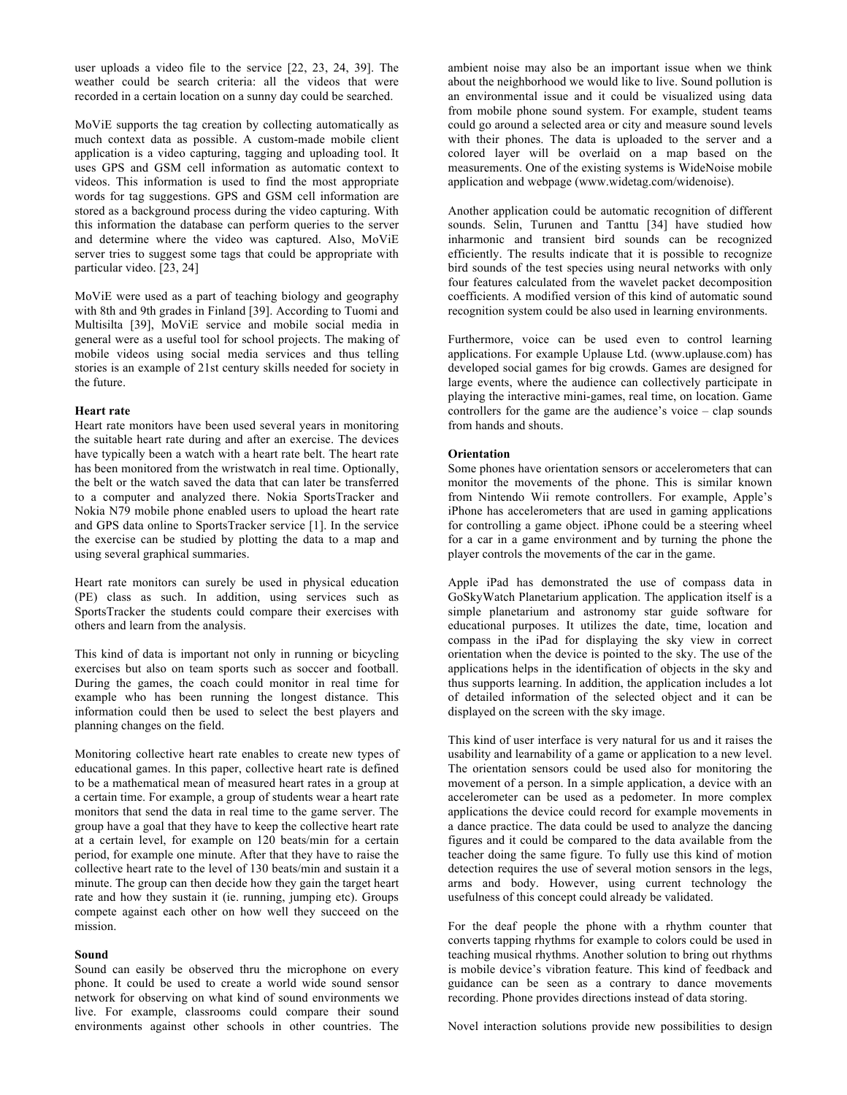user uploads a video file to the service [22, 23, 24, 39]. The weather could be search criteria: all the videos that were recorded in a certain location on a sunny day could be searched.

MoViE supports the tag creation by collecting automatically as much context data as possible. A custom-made mobile client application is a video capturing, tagging and uploading tool. It uses GPS and GSM cell information as automatic context to videos. This information is used to find the most appropriate words for tag suggestions. GPS and GSM cell information are stored as a background process during the video capturing. With this information the database can perform queries to the server and determine where the video was captured. Also, MoViE server tries to suggest some tags that could be appropriate with particular video. [23, 24]

MoViE were used as a part of teaching biology and geography with 8th and 9th grades in Finland [39]. According to Tuomi and Multisilta [39], MoViE service and mobile social media in general were as a useful tool for school projects. The making of mobile videos using social media services and thus telling stories is an example of 21st century skills needed for society in the future.

#### **Heart rate**

Heart rate monitors have been used several years in monitoring the suitable heart rate during and after an exercise. The devices have typically been a watch with a heart rate belt. The heart rate has been monitored from the wristwatch in real time. Optionally, the belt or the watch saved the data that can later be transferred to a computer and analyzed there. Nokia SportsTracker and Nokia N79 mobile phone enabled users to upload the heart rate and GPS data online to SportsTracker service [1]. In the service the exercise can be studied by plotting the data to a map and using several graphical summaries.

Heart rate monitors can surely be used in physical education (PE) class as such. In addition, using services such as SportsTracker the students could compare their exercises with others and learn from the analysis.

This kind of data is important not only in running or bicycling exercises but also on team sports such as soccer and football. During the games, the coach could monitor in real time for example who has been running the longest distance. This information could then be used to select the best players and planning changes on the field.

Monitoring collective heart rate enables to create new types of educational games. In this paper, collective heart rate is defined to be a mathematical mean of measured heart rates in a group at a certain time. For example, a group of students wear a heart rate monitors that send the data in real time to the game server. The group have a goal that they have to keep the collective heart rate at a certain level, for example on 120 beats/min for a certain period, for example one minute. After that they have to raise the collective heart rate to the level of 130 beats/min and sustain it a minute. The group can then decide how they gain the target heart rate and how they sustain it (ie. running, jumping etc). Groups compete against each other on how well they succeed on the mission.

## **Sound**

Sound can easily be observed thru the microphone on every phone. It could be used to create a world wide sound sensor network for observing on what kind of sound environments we live. For example, classrooms could compare their sound environments against other schools in other countries. The

ambient noise may also be an important issue when we think about the neighborhood we would like to live. Sound pollution is an environmental issue and it could be visualized using data from mobile phone sound system. For example, student teams could go around a selected area or city and measure sound levels with their phones. The data is uploaded to the server and a colored layer will be overlaid on a map based on the measurements. One of the existing systems is WideNoise mobile application and webpage (www.widetag.com/widenoise).

Another application could be automatic recognition of different sounds. Selin, Turunen and Tanttu [34] have studied how inharmonic and transient bird sounds can be recognized efficiently. The results indicate that it is possible to recognize bird sounds of the test species using neural networks with only four features calculated from the wavelet packet decomposition coefficients. A modified version of this kind of automatic sound recognition system could be also used in learning environments.

Furthermore, voice can be used even to control learning applications. For example Uplause Ltd. (www.uplause.com) has developed social games for big crowds. Games are designed for large events, where the audience can collectively participate in playing the interactive mini-games, real time, on location. Game controllers for the game are the audience's voice – clap sounds from hands and shouts.

## **Orientation**

Some phones have orientation sensors or accelerometers that can monitor the movements of the phone. This is similar known from Nintendo Wii remote controllers. For example, Apple's iPhone has accelerometers that are used in gaming applications for controlling a game object. iPhone could be a steering wheel for a car in a game environment and by turning the phone the player controls the movements of the car in the game.

Apple iPad has demonstrated the use of compass data in GoSkyWatch Planetarium application. The application itself is a simple planetarium and astronomy star guide software for educational purposes. It utilizes the date, time, location and compass in the iPad for displaying the sky view in correct orientation when the device is pointed to the sky. The use of the applications helps in the identification of objects in the sky and thus supports learning. In addition, the application includes a lot of detailed information of the selected object and it can be displayed on the screen with the sky image.

This kind of user interface is very natural for us and it raises the usability and learnability of a game or application to a new level. The orientation sensors could be used also for monitoring the movement of a person. In a simple application, a device with an accelerometer can be used as a pedometer. In more complex applications the device could record for example movements in a dance practice. The data could be used to analyze the dancing figures and it could be compared to the data available from the teacher doing the same figure. To fully use this kind of motion detection requires the use of several motion sensors in the legs, arms and body. However, using current technology the usefulness of this concept could already be validated.

For the deaf people the phone with a rhythm counter that converts tapping rhythms for example to colors could be used in teaching musical rhythms. Another solution to bring out rhythms is mobile device's vibration feature. This kind of feedback and guidance can be seen as a contrary to dance movements recording. Phone provides directions instead of data storing.

Novel interaction solutions provide new possibilities to design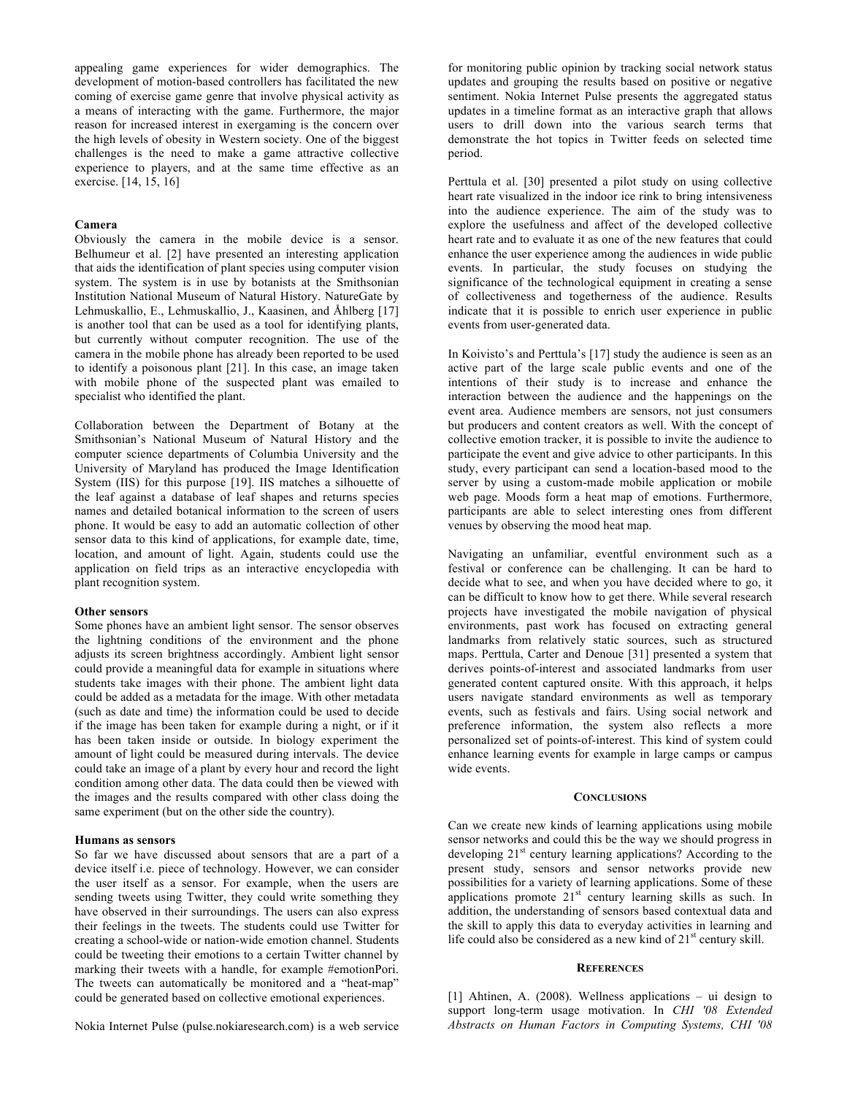appealing game experiences for wider demographics. The development of motion-based controllers has facilitated the new coming of exercise game genre that involve physical activity as a means of interacting with the game. Furthermore, the major reason for increased interest in exergaming is the concern over the high levels of obesity in Western society. One of the biggest challenges is the need to make a game attractive collective experience to players, and at the same time effective as an exercise. [14, 15, 16]

## **Camera**

Obviously the camera in the mobile device is a sensor. Belhumeur et al. [2] have presented an interesting application that aids the identification of plant species using computer vision system. The system is in use by botanists at the Smithsonian Institution National Museum of Natural History. NatureGate by Lehmuskallio, E., Lehmuskallio, J., Kaasinen, and Åhlberg [17] is another tool that can be used as a tool for identifying plants, but currently without computer recognition. The use of the camera in the mobile phone has already been reported to be used to identify a poisonous plant [21]. In this case, an image taken with mobile phone of the suspected plant was emailed to specialist who identified the plant.

Collaboration between the Department of Botany at the Smithsonian's National Museum of Natural History and the computer science departments of Columbia University and the University of Maryland has produced the Image Identification System (IIS) for this purpose [19]. IIS matches a silhouette of the leaf against a database of leaf shapes and returns species names and detailed botanical information to the screen of users phone. It would be easy to add an automatic collection of other sensor data to this kind of applications, for example date, time, location, and amount of light. Again, students could use the application on field trips as an interactive encyclopedia with plant recognition system.

#### **Other sensors**

Some phones have an ambient light sensor. The sensor observes the lightning conditions of the environment and the phone adjusts its screen brightness accordingly. Ambient light sensor could provide a meaningful data for example in situations where students take images with their phone. The ambient light data could be added as a metadata for the image. With other metadata (such as date and time) the information could be used to decide if the image has been taken for example during a night, or if it has been taken inside or outside. In biology experiment the amount of light could be measured during intervals. The device could take an image of a plant by every hour and record the light condition among other data. The data could then be viewed with the images and the results compared with other class doing the same experiment (but on the other side the country).

#### **Humans as sensors**

So far we have discussed about sensors that are a part of a device itself i.e. piece of technology. However, we can consider the user itself as a sensor. For example, when the users are sending tweets using Twitter, they could write something they have observed in their surroundings. The users can also express their feelings in the tweets. The students could use Twitter for creating a school-wide or nation-wide emotion channel. Students could be tweeting their emotions to a certain Twitter channel by marking their tweets with a handle, for example #emotionPori. The tweets can automatically be monitored and a "heat-map" could be generated based on collective emotional experiences.

Nokia Internet Pulse (pulse.nokiaresearch.com) is a web service

for monitoring public opinion by tracking social network status updates and grouping the results based on positive or negative sentiment. Nokia Internet Pulse presents the aggregated status updates in a timeline format as an interactive graph that allows users to drill down into the various search terms that demonstrate the hot topics in Twitter feeds on selected time period.

Perttula et al. [30] presented a pilot study on using collective heart rate visualized in the indoor ice rink to bring intensiveness into the audience experience. The aim of the study was to explore the usefulness and affect of the developed collective heart rate and to evaluate it as one of the new features that could enhance the user experience among the audiences in wide public events. In particular, the study focuses on studying the significance of the technological equipment in creating a sense of collectiveness and togetherness of the audience. Results indicate that it is possible to enrich user experience in public events from user-generated data.

In Koivisto's and Perttula's [17] study the audience is seen as an active part of the large scale public events and one of the intentions of their study is to increase and enhance the interaction between the audience and the happenings on the event area. Audience members are sensors, not just consumers but producers and content creators as well. With the concept of collective emotion tracker, it is possible to invite the audience to participate the event and give advice to other participants. In this study, every participant can send a location-based mood to the server by using a custom-made mobile application or mobile web page. Moods form a heat map of emotions. Furthermore, participants are able to select interesting ones from different venues by observing the mood heat map.

Navigating an unfamiliar, eventful environment such as a festival or conference can be challenging. It can be hard to decide what to see, and when you have decided where to go, it can be difficult to know how to get there. While several research projects have investigated the mobile navigation of physical environments, past work has focused on extracting general landmarks from relatively static sources, such as structured maps. Perttula, Carter and Denoue [31] presented a system that derives points-of-interest and associated landmarks from user generated content captured onsite. With this approach, it helps users navigate standard environments as well as temporary events, such as festivals and fairs. Using social network and preference information, the system also reflects a more personalized set of points-of-interest. This kind of system could enhance learning events for example in large camps or campus wide events.

### **CONCLUSIONS**

Can we create new kinds of learning applications using mobile sensor networks and could this be the way we should progress in developing 21<sup>st</sup> century learning applications? According to the present study, sensors and sensor networks provide new possibilities for a variety of learning applications. Some of these applications promote  $21<sup>st</sup>$  century learning skills as such. In addition, the understanding of sensors based contextual data and the skill to apply this data to everyday activities in learning and life could also be considered as a new kind of  $21<sup>st</sup>$  century skill.

#### **REFERENCES**

[1] Ahtinen, A. (2008). Wellness applications – ui design to support long-term usage motivation. In *CHI '08 Extended Abstracts on Human Factors in Computing Systems, CHI '08*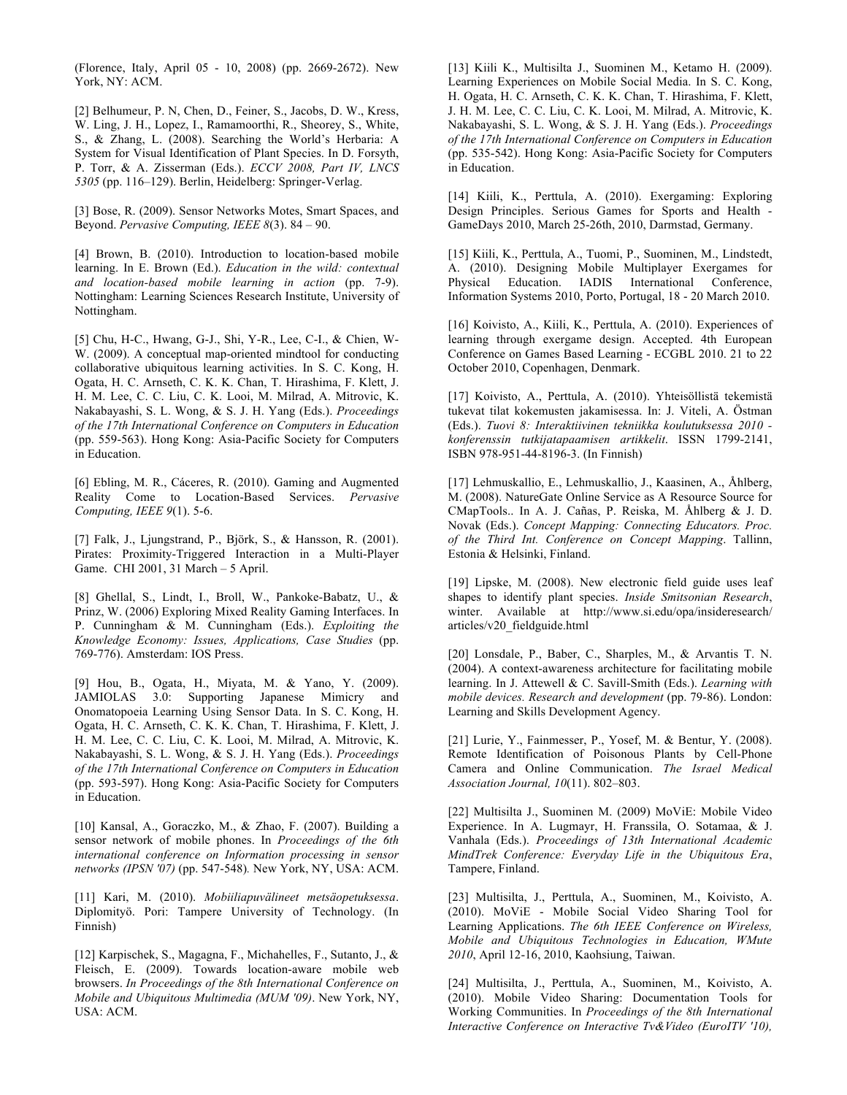(Florence, Italy, April 05 - 10, 2008) (pp. 2669-2672). New York, NY: ACM.

[2] Belhumeur, P. N, Chen, D., Feiner, S., Jacobs, D. W., Kress, W. Ling, J. H., Lopez, I., Ramamoorthi, R., Sheorey, S., White, S., & Zhang, L. (2008). Searching the World's Herbaria: A System for Visual Identification of Plant Species. In D. Forsyth, P. Torr, & A. Zisserman (Eds.). *ECCV 2008, Part IV, LNCS 5305* (pp. 116–129). Berlin, Heidelberg: Springer-Verlag.

[3] Bose, R. (2009). Sensor Networks Motes, Smart Spaces, and Beyond. *Pervasive Computing, IEEE 8*(3). 84 – 90.

[4] Brown, B. (2010). Introduction to location-based mobile learning. In E. Brown (Ed.). *Education in the wild: contextual and location-based mobile learning in action* (pp. 7-9). Nottingham: Learning Sciences Research Institute, University of Nottingham.

[5] Chu, H-C., Hwang, G-J., Shi, Y-R., Lee, C-I., & Chien, W-W. (2009). A conceptual map-oriented mindtool for conducting collaborative ubiquitous learning activities. In S. C. Kong, H. Ogata, H. C. Arnseth, C. K. K. Chan, T. Hirashima, F. Klett, J. H. M. Lee, C. C. Liu, C. K. Looi, M. Milrad, A. Mitrovic, K. Nakabayashi, S. L. Wong, & S. J. H. Yang (Eds.). *Proceedings of the 17th International Conference on Computers in Education*  (pp. 559-563). Hong Kong: Asia-Pacific Society for Computers in Education.

[6] Ebling, M. R., Cáceres, R. (2010). Gaming and Augmented Reality Come to Location-Based Services. *Pervasive Computing, IEEE 9*(1). 5-6.

[7] Falk, J., Ljungstrand, P., Björk, S., & Hansson, R. (2001). Pirates: Proximity-Triggered Interaction in a Multi-Player Game. CHI 2001, 31 March – 5 April.

[8] Ghellal, S., Lindt, I., Broll, W., Pankoke-Babatz, U., & Prinz, W. (2006) Exploring Mixed Reality Gaming Interfaces. In P. Cunningham & M. Cunningham (Eds.). *Exploiting the Knowledge Economy: Issues, Applications, Case Studies* (pp. 769-776). Amsterdam: IOS Press.

[9] Hou, B., Ogata, H., Miyata, M. & Yano, Y. (2009). JAMIOLAS 3.0: Supporting Japanese Mimicry and Onomatopoeia Learning Using Sensor Data. In S. C. Kong, H. Ogata, H. C. Arnseth, C. K. K. Chan, T. Hirashima, F. Klett, J. H. M. Lee, C. C. Liu, C. K. Looi, M. Milrad, A. Mitrovic, K. Nakabayashi, S. L. Wong, & S. J. H. Yang (Eds.). *Proceedings of the 17th International Conference on Computers in Education* (pp. 593-597). Hong Kong: Asia-Pacific Society for Computers in Education.

[10] Kansal, A., Goraczko, M., & Zhao, F. (2007). Building a sensor network of mobile phones. In *Proceedings of the 6th international conference on Information processing in sensor networks (IPSN '07)* (pp. 547-548)*.* New York, NY, USA: ACM.

[11] Kari, M. (2010). *Mobiiliapuvälineet metsäopetuksessa*. Diplomityö. Pori: Tampere University of Technology. (In Finnish)

[12] Karpischek, S., Magagna, F., Michahelles, F., Sutanto, J., & Fleisch, E. (2009). Towards location-aware mobile web browsers. *In Proceedings of the 8th International Conference on Mobile and Ubiquitous Multimedia (MUM '09)*. New York, NY, USA: ACM.

[13] Kiili K., Multisilta J., Suominen M., Ketamo H. (2009). Learning Experiences on Mobile Social Media. In S. C. Kong, H. Ogata, H. C. Arnseth, C. K. K. Chan, T. Hirashima, F. Klett, J. H. M. Lee, C. C. Liu, C. K. Looi, M. Milrad, A. Mitrovic, K. Nakabayashi, S. L. Wong, & S. J. H. Yang (Eds.). *Proceedings of the 17th International Conference on Computers in Education* (pp. 535-542). Hong Kong: Asia-Pacific Society for Computers in Education.

[14] Kiili, K., Perttula, A. (2010). Exergaming: Exploring Design Principles. Serious Games for Sports and Health - GameDays 2010, March 25-26th, 2010, Darmstad, Germany.

[15] Kiili, K., Perttula, A., Tuomi, P., Suominen, M., Lindstedt, A. (2010). Designing Mobile Multiplayer Exergames for Physical Education. IADIS International Conference, Information Systems 2010, Porto, Portugal, 18 - 20 March 2010.

[16] Koivisto, A., Kiili, K., Perttula, A. (2010). Experiences of learning through exergame design. Accepted. 4th European Conference on Games Based Learning - ECGBL 2010. 21 to 22 October 2010, Copenhagen, Denmark.

[17] Koivisto, A., Perttula, A. (2010). Yhteisöllistä tekemistä tukevat tilat kokemusten jakamisessa. In: J. Viteli, A. Östman (Eds.). *Tuovi 8: Interaktiivinen tekniikka koulutuksessa 2010 konferenssin tutkijatapaamisen artikkelit*. ISSN 1799-2141, ISBN 978-951-44-8196-3. (In Finnish)

[17] Lehmuskallio, E., Lehmuskallio, J., Kaasinen, A., Åhlberg, M. (2008). NatureGate Online Service as A Resource Source for CMapTools.. In A. J. Cañas, P. Reiska, M. Åhlberg & J. D. Novak (Eds.). *Concept Mapping: Connecting Educators. Proc. of the Third Int. Conference on Concept Mapping*. Tallinn, Estonia & Helsinki, Finland.

[19] Lipske, M. (2008). New electronic field guide uses leaf shapes to identify plant species. *Inside Smitsonian Research*, winter. Available at http://www.si.edu/opa/insideresearch/ articles/v20\_fieldguide.html

[20] Lonsdale, P., Baber, C., Sharples, M., & Arvantis T. N. (2004). A context-awareness architecture for facilitating mobile learning. In J. Attewell & C. Savill-Smith (Eds.). *Learning with mobile devices. Research and development* (pp. 79-86). London: Learning and Skills Development Agency.

[21] Lurie, Y., Fainmesser, P., Yosef, M. & Bentur, Y. (2008). Remote Identification of Poisonous Plants by Cell-Phone Camera and Online Communication. *The Israel Medical Association Journal, 10*(11). 802–803.

[22] Multisilta J., Suominen M. (2009) MoViE: Mobile Video Experience. In A. Lugmayr, H. Franssila, O. Sotamaa, & J. Vanhala (Eds.). *Proceedings of 13th International Academic MindTrek Conference: Everyday Life in the Ubiquitous Era*, Tampere, Finland.

[23] Multisilta, J., Perttula, A., Suominen, M., Koivisto, A. (2010). MoViE - Mobile Social Video Sharing Tool for Learning Applications. *The 6th IEEE Conference on Wireless, Mobile and Ubiquitous Technologies in Education, WMute 2010*, April 12-16, 2010, Kaohsiung, Taiwan.

[24] Multisilta, J., Perttula, A., Suominen, M., Koivisto, A. (2010). Mobile Video Sharing: Documentation Tools for Working Communities. In *Proceedings of the 8th International Interactive Conference on Interactive Tv&Video (EuroITV '10),*